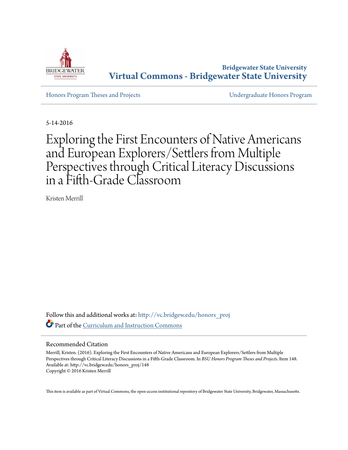

**Bridgewater State University [Virtual Commons - Bridgewater State University](http://vc.bridgew.edu?utm_source=vc.bridgew.edu%2Fhonors_proj%2F148&utm_medium=PDF&utm_campaign=PDFCoverPages)**

[Honors Program Theses and Projects](http://vc.bridgew.edu/honors_proj?utm_source=vc.bridgew.edu%2Fhonors_proj%2F148&utm_medium=PDF&utm_campaign=PDFCoverPages) [Undergraduate Honors Program](http://vc.bridgew.edu/honors?utm_source=vc.bridgew.edu%2Fhonors_proj%2F148&utm_medium=PDF&utm_campaign=PDFCoverPages)

5-14-2016

# Exploring the First Encounters of Native Americans and European Explorers/Settlers from Multiple Perspectives through Critical Literacy Discussions in a Fifth-Grade Classroom

Kristen Merrill

Follow this and additional works at: [http://vc.bridgew.edu/honors\\_proj](http://vc.bridgew.edu/honors_proj?utm_source=vc.bridgew.edu%2Fhonors_proj%2F148&utm_medium=PDF&utm_campaign=PDFCoverPages) Part of the [Curriculum and Instruction Commons](http://network.bepress.com/hgg/discipline/786?utm_source=vc.bridgew.edu%2Fhonors_proj%2F148&utm_medium=PDF&utm_campaign=PDFCoverPages)

## Recommended Citation

Merrill, Kristen. (2016). Exploring the First Encounters of Native Americans and European Explorers/Settlers from Multiple Perspectives through Critical Literacy Discussions in a Fifth-Grade Classroom. In *BSU Honors Program Theses and Projects.* Item 148. Available at: http://vc.bridgew.edu/honors\_proj/148 Copyright © 2016 Kristen Merrill

This item is available as part of Virtual Commons, the open-access institutional repository of Bridgewater State University, Bridgewater, Massachusetts.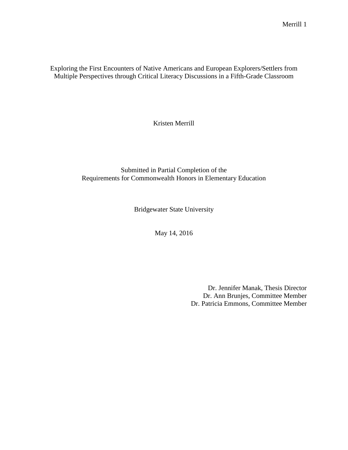Exploring the First Encounters of Native Americans and European Explorers/Settlers from Multiple Perspectives through Critical Literacy Discussions in a Fifth-Grade Classroom

Kristen Merrill

Submitted in Partial Completion of the Requirements for Commonwealth Honors in Elementary Education

Bridgewater State University

May 14, 2016

Dr. Jennifer Manak, Thesis Director Dr. Ann Brunjes, Committee Member Dr. Patricia Emmons, Committee Member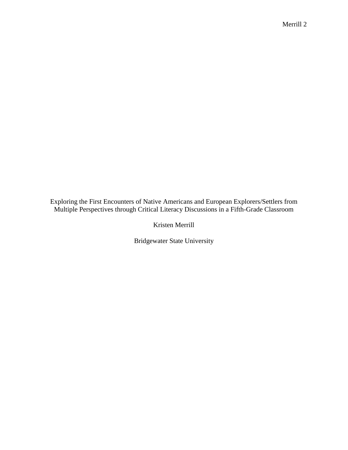Exploring the First Encounters of Native Americans and European Explorers/Settlers from Multiple Perspectives through Critical Literacy Discussions in a Fifth-Grade Classroom

Kristen Merrill

Bridgewater State University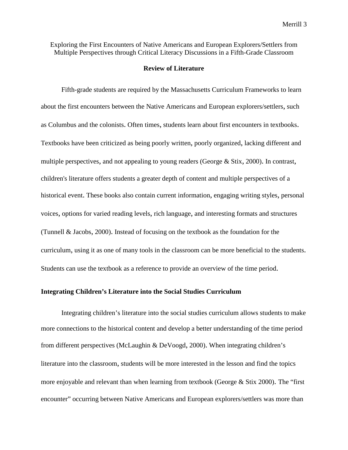Exploring the First Encounters of Native Americans and European Explorers/Settlers from Multiple Perspectives through Critical Literacy Discussions in a Fifth-Grade Classroom

#### **Review of Literature**

Fifth-grade students are required by the Massachusetts Curriculum Frameworks to learn about the first encounters between the Native Americans and European explorers/settlers, such as Columbus and the colonists. Often times, students learn about first encounters in textbooks. Textbooks have been criticized as being poorly written, poorly organized, lacking different and multiple perspectives, and not appealing to young readers (George & Stix, 2000). In contrast, children's literature offers students a greater depth of content and multiple perspectives of a historical event. These books also contain current information, engaging writing styles, personal voices, options for varied reading levels, rich language, and interesting formats and structures (Tunnell & Jacobs, 2000). Instead of focusing on the textbook as the foundation for the curriculum, using it as one of many tools in the classroom can be more beneficial to the students. Students can use the textbook as a reference to provide an overview of the time period.

## **Integrating Children's Literature into the Social Studies Curriculum**

Integrating children's literature into the social studies curriculum allows students to make more connections to the historical content and develop a better understanding of the time period from different perspectives (McLaughin & DeVoogd, 2000). When integrating children's literature into the classroom, students will be more interested in the lesson and find the topics more enjoyable and relevant than when learning from textbook (George & Stix 2000). The "first encounter" occurring between Native Americans and European explorers/settlers was more than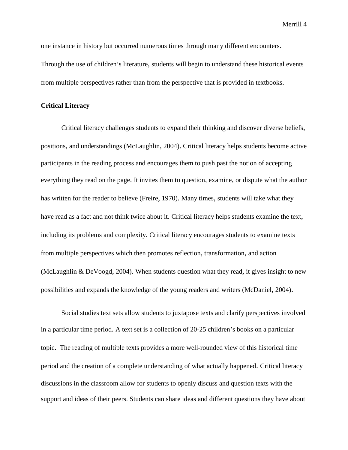one instance in history but occurred numerous times through many different encounters. Through the use of children's literature, students will begin to understand these historical events from multiple perspectives rather than from the perspective that is provided in textbooks.

## **Critical Literacy**

Critical literacy challenges students to expand their thinking and discover diverse beliefs, positions, and understandings (McLaughlin, 2004). Critical literacy helps students become active participants in the reading process and encourages them to push past the notion of accepting everything they read on the page. It invites them to question, examine, or dispute what the author has written for the reader to believe (Freire, 1970). Many times, students will take what they have read as a fact and not think twice about it. Critical literacy helps students examine the text, including its problems and complexity. Critical literacy encourages students to examine texts from multiple perspectives which then promotes reflection, transformation, and action (McLaughlin & DeVoogd, 2004). When students question what they read, it gives insight to new possibilities and expands the knowledge of the young readers and writers (McDaniel, 2004).

Social studies text sets allow students to juxtapose texts and clarify perspectives involved in a particular time period. A text set is a collection of 20-25 children's books on a particular topic. The reading of multiple texts provides a more well-rounded view of this historical time period and the creation of a complete understanding of what actually happened. Critical literacy discussions in the classroom allow for students to openly discuss and question texts with the support and ideas of their peers. Students can share ideas and different questions they have about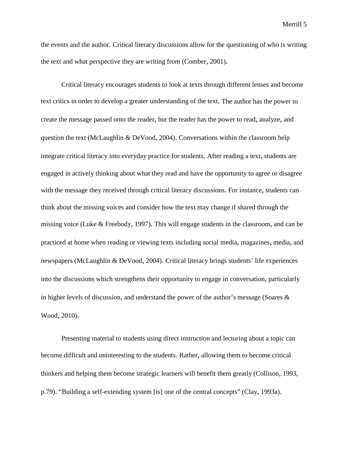the events and the author. Critical literacy discussions allow for the questioning of who is writing the text and what perspective they are writing from (Comber, 2001).

Critical literacy encourages students to look at texts through different lenses and become text critics in order to develop a greater understanding of the text. The author has the power to create the message passed onto the reader, but the reader has the power to read, analyze, and question the text (McLaughlin & DeVood, 2004). Conversations within the classroom help integrate critical literacy into everyday practice for students. After reading a text, students are engaged in actively thinking about what they read and have the opportunity to agree or disagree with the message they received through critical literacy discussions. For instance, students can think about the missing voices and consider how the text may change if shared through the missing voice (Luke & Freebody, 1997). This will engage students in the classroom, and can be practiced at home when reading or viewing texts including social media, magazines, media, and newspapers (McLaughlin & DeVood, 2004). Critical literacy brings students' life experiences into the discussions which strengthens their opportunity to engage in conversation, particularly in higher levels of discussion, and understand the power of the author's message (Soares & Wood, 2010).

Presenting material to students using direct instruction and lecturing about a topic can become difficult and uninteresting to the students. Rather, allowing them to become critical thinkers and helping them become strategic learners will benefit them greatly (Collison, 1993, p.79). "Building a self-extending system [is] one of the central concepts" (Clay, 1993a).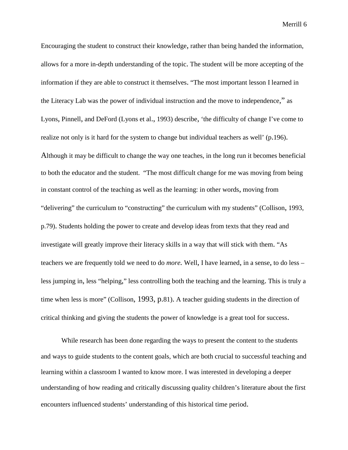Encouraging the student to construct their knowledge, rather than being handed the information, allows for a more in-depth understanding of the topic. The student will be more accepting of the information if they are able to construct it themselves. "The most important lesson I learned in the Literacy Lab was the power of individual instruction and the move to independence," as Lyons, Pinnell, and DeFord (Lyons et al., 1993) describe, 'the difficulty of change I've come to realize not only is it hard for the system to change but individual teachers as well' (p.196). Although it may be difficult to change the way one teaches, in the long run it becomes beneficial to both the educator and the student. "The most difficult change for me was moving from being in constant control of the teaching as well as the learning: in other words, moving from "delivering" the curriculum to "constructing" the curriculum with my students" (Collison, 1993, p.79). Students holding the power to create and develop ideas from texts that they read and investigate will greatly improve their literacy skills in a way that will stick with them. "As teachers we are frequently told we need to do *more.* Well, I have learned, in a sense, to do less – less jumping in, less "helping," less controlling both the teaching and the learning. This is truly a time when less is more" (Collison, 1993, p.81). A teacher guiding students in the direction of critical thinking and giving the students the power of knowledge is a great tool for success.

While research has been done regarding the ways to present the content to the students and ways to guide students to the content goals, which are both crucial to successful teaching and learning within a classroom I wanted to know more. I was interested in developing a deeper understanding of how reading and critically discussing quality children's literature about the first encounters influenced students' understanding of this historical time period.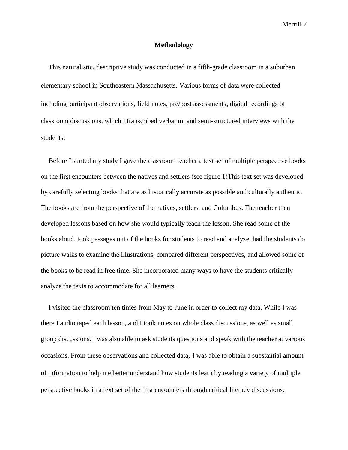## **Methodology**

This naturalistic, descriptive study was conducted in a fifth-grade classroom in a suburban elementary school in Southeastern Massachusetts. Various forms of data were collected including participant observations, field notes, pre/post assessments, digital recordings of classroom discussions, which I transcribed verbatim, and semi-structured interviews with the students.

Before I started my study I gave the classroom teacher a text set of multiple perspective books on the first encounters between the natives and settlers (see figure 1)This text set was developed by carefully selecting books that are as historically accurate as possible and culturally authentic. The books are from the perspective of the natives, settlers, and Columbus. The teacher then developed lessons based on how she would typically teach the lesson. She read some of the books aloud, took passages out of the books for students to read and analyze, had the students do picture walks to examine the illustrations, compared different perspectives, and allowed some of the books to be read in free time. She incorporated many ways to have the students critically analyze the texts to accommodate for all learners.

I visited the classroom ten times from May to June in order to collect my data. While I was there I audio taped each lesson, and I took notes on whole class discussions, as well as small group discussions. I was also able to ask students questions and speak with the teacher at various occasions. From these observations and collected data, I was able to obtain a substantial amount of information to help me better understand how students learn by reading a variety of multiple perspective books in a text set of the first encounters through critical literacy discussions.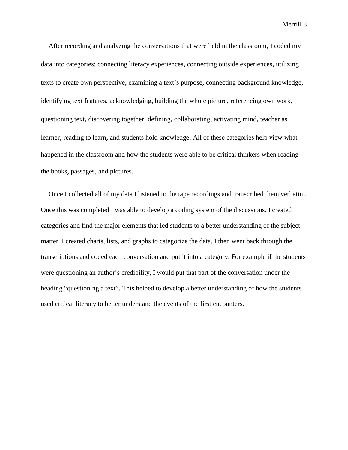After recording and analyzing the conversations that were held in the classroom, I coded my data into categories: connecting literacy experiences, connecting outside experiences, utilizing texts to create own perspective, examining a text's purpose, connecting background knowledge, identifying text features, acknowledging, building the whole picture, referencing own work, questioning text, discovering together, defining, collaborating, activating mind, teacher as learner, reading to learn, and students hold knowledge. All of these categories help view what happened in the classroom and how the students were able to be critical thinkers when reading the books, passages, and pictures.

Once I collected all of my data I listened to the tape recordings and transcribed them verbatim. Once this was completed I was able to develop a coding system of the discussions. I created categories and find the major elements that led students to a better understanding of the subject matter. I created charts, lists, and graphs to categorize the data. I then went back through the transcriptions and coded each conversation and put it into a category. For example if the students were questioning an author's credibility, I would put that part of the conversation under the heading "questioning a text". This helped to develop a better understanding of how the students used critical literacy to better understand the events of the first encounters.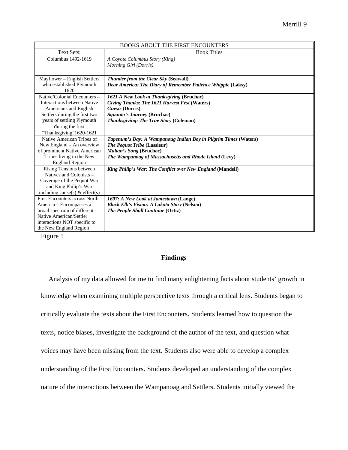| <b>BOOKS ABOUT THE FIRST ENCOUNTERS</b> |                                                                 |
|-----------------------------------------|-----------------------------------------------------------------|
| Text Sets:                              | <b>Book Titles</b>                                              |
| Columbus 1492-1619                      | A Coyote Columbus Story (King)                                  |
|                                         | Morning Girl (Dorris)                                           |
|                                         |                                                                 |
| Mayflower – English Settlers            | <b>Thunder from the Clear Sky (Seawall)</b>                     |
| who established Plymouth                | Dear America: The Diary of Remember Patience Whippie (Laksy)    |
| 1620                                    |                                                                 |
| Native/Colonial Encounters -            | 1621 A New Look at Thanksgiving (Bruchac)                       |
| Interactions between Native             | Giving Thanks: The 1621 Harvest Fest (Waters)                   |
| Americans and English                   | <b>Guests</b> (Dorris)                                          |
| Settlers during the first two           | <b>Squanto's Journey (Bruchac)</b>                              |
| years of settling Plymouth              | <b>Thanksgiving: The True Story (Coleman)</b>                   |
| during the first                        |                                                                 |
| "Thanksgiving"1620-1621                 |                                                                 |
| Native American Tribes of               | Tapenum's Day: A Wampanoug Indian Boy in Pilgrim Times (Waters) |
| New England – An overview               | The Pequot Tribe (Lassieur)                                     |
| of prominent Native American            | Malian's Song (Bruchac)                                         |
| Tribes living in the New                | The Wampanoag of Massachusetts and Rhode Island (Levy)          |
| <b>England Region</b>                   |                                                                 |
| Rising Tensions between                 | King Philip's War: The Conflict over New England (Mandell)      |
| Natives and Colonists –                 |                                                                 |
| Coverage of the Pequot War              |                                                                 |
| and King Philip's War                   |                                                                 |
| including cause(s) $&$ effect(s)        |                                                                 |
| <b>First Encounters across North</b>    | 1607: A New Look at Jamestown (Lange)                           |
| America - Encompasses a                 | <b>Black Elk's Vision: A Lakota Story (Nelson)</b>              |
| broad spectrum of different             | The People Shall Continue (Ortiz)                               |
| Native American/Settler                 |                                                                 |
| interactions NOT specific to            |                                                                 |
| the New England Region                  |                                                                 |

Figure 1

# **Findings**

Analysis of my data allowed for me to find many enlightening facts about students' growth in knowledge when examining multiple perspective texts through a critical lens. Students began to critically evaluate the texts about the First Encounters. Students learned how to question the texts, notice biases, investigate the background of the author of the text, and question what voices may have been missing from the text. Students also were able to develop a complex understanding of the First Encounters. Students developed an understanding of the complex nature of the interactions between the Wampanoag and Settlers. Students initially viewed the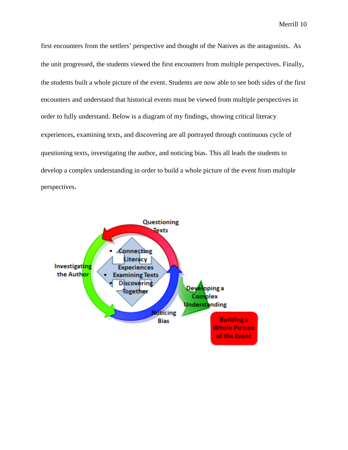first encounters from the settlers' perspective and thought of the Natives as the antagonists. As the unit progressed, the students viewed the first encounters from multiple perspectives. Finally, the students built a whole picture of the event. Students are now able to see both sides of the first encounters and understand that historical events must be viewed from multiple perspectives in order to fully understand. Below is a diagram of my findings, showing critical literacy experiences, examining texts, and discovering are all portrayed through continuous cycle of questioning texts, investigating the author, and noticing bias. This all leads the students to develop a complex understanding in order to build a whole picture of the event from multiple perspectives.

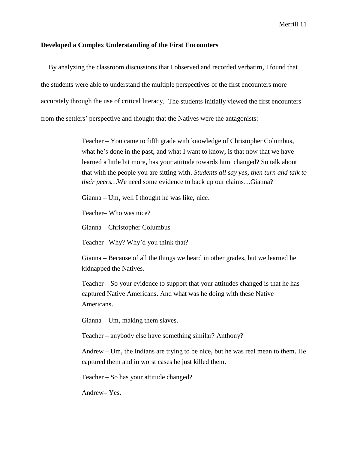## **Developed a Complex Understanding of the First Encounters**

By analyzing the classroom discussions that I observed and recorded verbatim, I found that the students were able to understand the multiple perspectives of the first encounters more accurately through the use of critical literacy. The students initially viewed the first encounters from the settlers' perspective and thought that the Natives were the antagonists:

> Teacher – You came to fifth grade with knowledge of Christopher Columbus, what he's done in the past, and what I want to know, is that now that we have learned a little bit more, has your attitude towards him changed? So talk about that with the people you are sitting with. *Students all say yes, then turn and talk to their peers…*We need some evidence to back up our claims…Gianna?

Gianna – Um, well I thought he was like, nice.

Teacher– Who was nice?

Gianna – Christopher Columbus

Teacher– Why? Why'd you think that?

Gianna – Because of all the things we heard in other grades, but we learned he kidnapped the Natives.

Teacher – So your evidence to support that your attitudes changed is that he has captured Native Americans. And what was he doing with these Native Americans.

Gianna – Um, making them slaves.

Teacher – anybody else have something similar? Anthony?

Andrew – Um, the Indians are trying to be nice, but he was real mean to them. He captured them and in worst cases he just killed them.

Teacher – So has your attitude changed?

Andrew– Yes.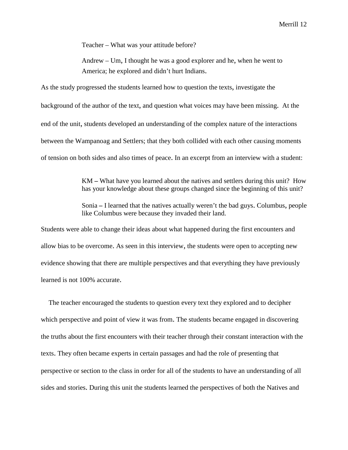Teacher – What was your attitude before?

Andrew – Um, I thought he was a good explorer and he, when he went to America; he explored and didn't hurt Indians.

As the study progressed the students learned how to question the texts, investigate the background of the author of the text, and question what voices may have been missing. At the end of the unit, students developed an understanding of the complex nature of the interactions between the Wampanoag and Settlers; that they both collided with each other causing moments of tension on both sides and also times of peace. In an excerpt from an interview with a student:

> KM **–** What have you learned about the natives and settlers during this unit? How has your knowledge about these groups changed since the beginning of this unit?

> Sonia **–** I learned that the natives actually weren't the bad guys. Columbus, people like Columbus were because they invaded their land.

Students were able to change their ideas about what happened during the first encounters and allow bias to be overcome. As seen in this interview, the students were open to accepting new evidence showing that there are multiple perspectives and that everything they have previously learned is not 100% accurate.

The teacher encouraged the students to question every text they explored and to decipher which perspective and point of view it was from. The students became engaged in discovering the truths about the first encounters with their teacher through their constant interaction with the texts. They often became experts in certain passages and had the role of presenting that perspective or section to the class in order for all of the students to have an understanding of all sides and stories. During this unit the students learned the perspectives of both the Natives and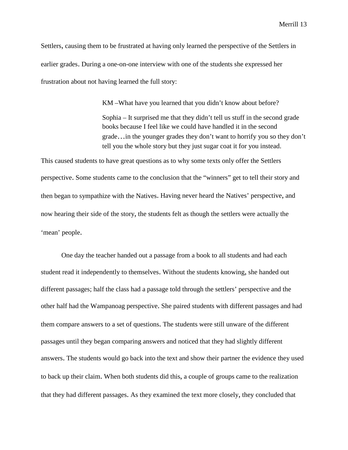Settlers, causing them to be frustrated at having only learned the perspective of the Settlers in earlier grades. During a one-on-one interview with one of the students she expressed her frustration about not having learned the full story:

> KM –What have you learned that you didn't know about before? Sophia – It surprised me that they didn't tell us stuff in the second grade books because I feel like we could have handled it in the second grade…in the younger grades they don't want to horrify you so they don't tell you the whole story but they just sugar coat it for you instead.

This caused students to have great questions as to why some texts only offer the Settlers perspective. Some students came to the conclusion that the "winners" get to tell their story and then began to sympathize with the Natives. Having never heard the Natives' perspective, and now hearing their side of the story, the students felt as though the settlers were actually the 'mean' people.

One day the teacher handed out a passage from a book to all students and had each student read it independently to themselves. Without the students knowing, she handed out different passages; half the class had a passage told through the settlers' perspective and the other half had the Wampanoag perspective. She paired students with different passages and had them compare answers to a set of questions. The students were still unware of the different passages until they began comparing answers and noticed that they had slightly different answers. The students would go back into the text and show their partner the evidence they used to back up their claim. When both students did this, a couple of groups came to the realization that they had different passages. As they examined the text more closely, they concluded that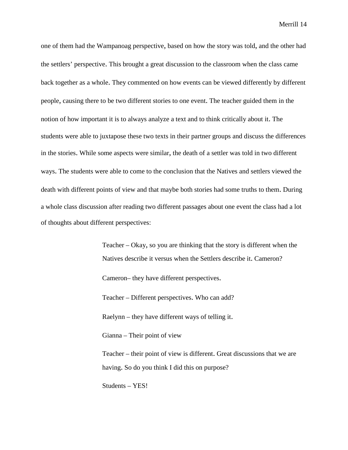one of them had the Wampanoag perspective, based on how the story was told, and the other had the settlers' perspective. This brought a great discussion to the classroom when the class came back together as a whole. They commented on how events can be viewed differently by different people, causing there to be two different stories to one event. The teacher guided them in the notion of how important it is to always analyze a text and to think critically about it. The students were able to juxtapose these two texts in their partner groups and discuss the differences in the stories. While some aspects were similar, the death of a settler was told in two different ways. The students were able to come to the conclusion that the Natives and settlers viewed the death with different points of view and that maybe both stories had some truths to them. During a whole class discussion after reading two different passages about one event the class had a lot of thoughts about different perspectives:

> Teacher – Okay, so you are thinking that the story is different when the Natives describe it versus when the Settlers describe it. Cameron? Cameron– they have different perspectives. Teacher – Different perspectives. Who can add? Raelynn – they have different ways of telling it. Gianna – Their point of view Teacher – their point of view is different. Great discussions that we are having. So do you think I did this on purpose? Students – YES!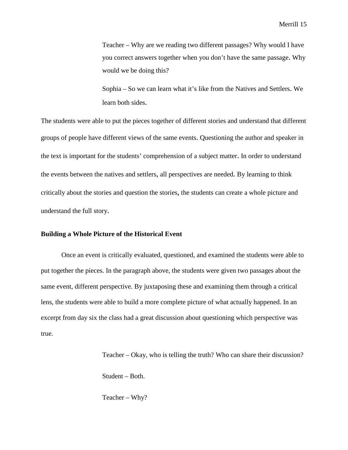Teacher – Why are we reading two different passages? Why would I have you correct answers together when you don't have the same passage. Why would we be doing this?

Sophia – So we can learn what it's like from the Natives and Settlers. We learn both sides.

The students were able to put the pieces together of different stories and understand that different groups of people have different views of the same events. Questioning the author and speaker in the text is important for the students' comprehension of a subject matter. In order to understand the events between the natives and settlers, all perspectives are needed. By learning to think critically about the stories and question the stories, the students can create a whole picture and understand the full story.

#### **Building a Whole Picture of the Historical Event**

Once an event is critically evaluated, questioned, and examined the students were able to put together the pieces. In the paragraph above, the students were given two passages about the same event, different perspective. By juxtaposing these and examining them through a critical lens, the students were able to build a more complete picture of what actually happened. In an excerpt from day six the class had a great discussion about questioning which perspective was true.

> Teacher – Okay, who is telling the truth? Who can share their discussion? Student – Both.

Teacher – Why?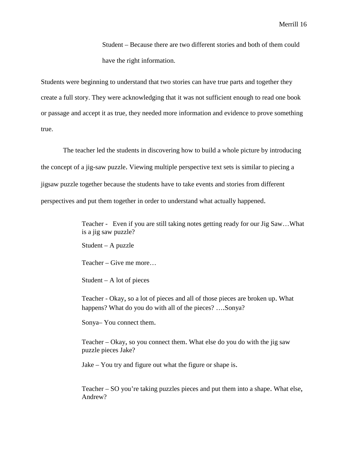Student – Because there are two different stories and both of them could have the right information.

Students were beginning to understand that two stories can have true parts and together they create a full story. They were acknowledging that it was not sufficient enough to read one book or passage and accept it as true, they needed more information and evidence to prove something true.

The teacher led the students in discovering how to build a whole picture by introducing the concept of a jig-saw puzzle. Viewing multiple perspective text sets is similar to piecing a jigsaw puzzle together because the students have to take events and stories from different perspectives and put them together in order to understand what actually happened.

> Teacher - Even if you are still taking notes getting ready for our Jig Saw…What is a jig saw puzzle?

Student – A puzzle

Teacher – Give me more…

Student – A lot of pieces

Teacher - Okay, so a lot of pieces and all of those pieces are broken up. What happens? What do you do with all of the pieces? ....Sonya?

Sonya– You connect them.

Teacher – Okay, so you connect them. What else do you do with the jig saw puzzle pieces Jake?

Jake – You try and figure out what the figure or shape is.

Teacher – SO you're taking puzzles pieces and put them into a shape. What else, Andrew?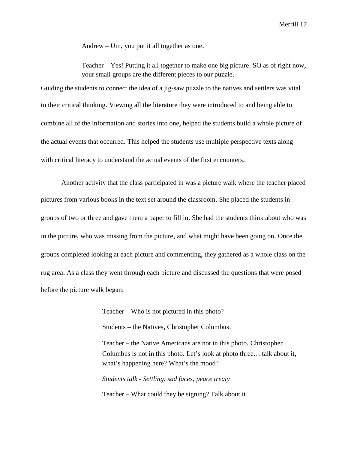Andrew – Um, you put it all together as one.

Teacher – Yes! Putting it all together to make one big picture. SO as of right now, your small groups are the different pieces to our puzzle.

Guiding the students to connect the idea of a jig-saw puzzle to the natives and settlers was vital to their critical thinking. Viewing all the literature they were introduced to and being able to combine all of the information and stories into one, helped the students build a whole picture of the actual events that occurred. This helped the students use multiple perspective texts along with critical literacy to understand the actual events of the first encounters.

Another activity that the class participated in was a picture walk where the teacher placed pictures from various books in the text set around the classroom. She placed the students in groups of two or three and gave them a paper to fill in. She had the students think about who was in the picture, who was missing from the picture, and what might have been going on. Once the groups completed looking at each picture and commenting, they gathered as a whole class on the rug area. As a class they went through each picture and discussed the questions that were posed before the picture walk began:

Teacher – Who is not pictured in this photo?

Students – the Natives, Christopher Columbus.

Teacher – the Native Americans are not in this photo. Christopher Columbus is not in this photo. Let's look at photo three… talk about it, what's happening here? What's the mood?

*Students talk - Settling, sad faces, peace treaty*

Teacher – What could they be signing? Talk about it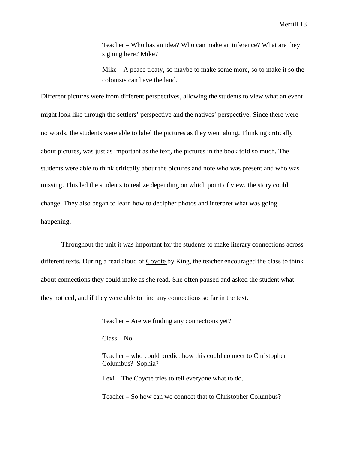Teacher – Who has an idea? Who can make an inference? What are they signing here? Mike?

Mike – A peace treaty, so maybe to make some more, so to make it so the colonists can have the land.

Different pictures were from different perspectives, allowing the students to view what an event might look like through the settlers' perspective and the natives' perspective. Since there were no words, the students were able to label the pictures as they went along. Thinking critically about pictures, was just as important as the text, the pictures in the book told so much. The students were able to think critically about the pictures and note who was present and who was missing. This led the students to realize depending on which point of view, the story could change. They also began to learn how to decipher photos and interpret what was going happening.

Throughout the unit it was important for the students to make literary connections across different texts. During a read aloud of Coyote by King, the teacher encouraged the class to think about connections they could make as she read. She often paused and asked the student what they noticed, and if they were able to find any connections so far in the text.

Teacher – Are we finding any connections yet?

Class – No

Teacher – who could predict how this could connect to Christopher Columbus? Sophia?

Lexi – The Coyote tries to tell everyone what to do.

Teacher – So how can we connect that to Christopher Columbus?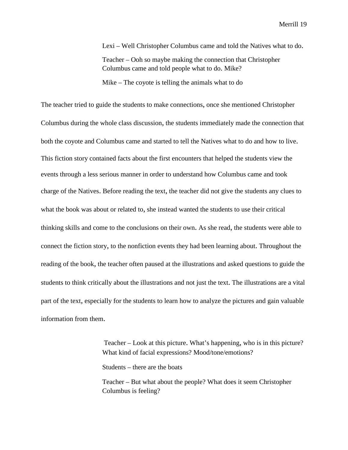Lexi – Well Christopher Columbus came and told the Natives what to do. Teacher – Ooh so maybe making the connection that Christopher Columbus came and told people what to do. Mike? Mike – The coyote is telling the animals what to do

The teacher tried to guide the students to make connections, once she mentioned Christopher Columbus during the whole class discussion, the students immediately made the connection that both the coyote and Columbus came and started to tell the Natives what to do and how to live. This fiction story contained facts about the first encounters that helped the students view the events through a less serious manner in order to understand how Columbus came and took charge of the Natives. Before reading the text, the teacher did not give the students any clues to what the book was about or related to, she instead wanted the students to use their critical thinking skills and come to the conclusions on their own. As she read, the students were able to connect the fiction story, to the nonfiction events they had been learning about. Throughout the reading of the book, the teacher often paused at the illustrations and asked questions to guide the students to think critically about the illustrations and not just the text. The illustrations are a vital part of the text, especially for the students to learn how to analyze the pictures and gain valuable information from them.

> Teacher – Look at this picture. What's happening, who is in this picture? What kind of facial expressions? Mood/tone/emotions?

Students – there are the boats

Teacher – But what about the people? What does it seem Christopher Columbus is feeling?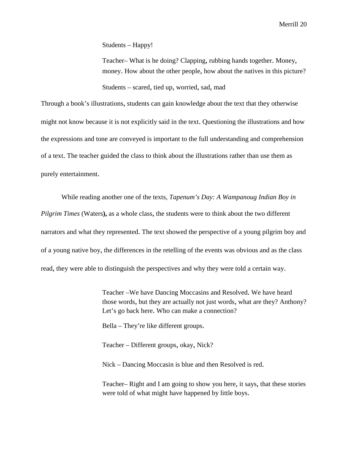Students – Happy!

Teacher– What is he doing? Clapping, rubbing hands together. Money, money. How about the other people, how about the natives in this picture? Students – scared, tied up, worried, sad, mad

Through a book's illustrations, students can gain knowledge about the text that they otherwise might not know because it is not explicitly said in the text. Questioning the illustrations and how the expressions and tone are conveyed is important to the full understanding and comprehension of a text. The teacher guided the class to think about the illustrations rather than use them as purely entertainment.

While reading another one of the texts, *Tapenum's Day: A Wampanoug Indian Boy in Pilgrim Times* (Waters**),** as a whole class, the students were to think about the two different narrators and what they represented. The text showed the perspective of a young pilgrim boy and of a young native boy, the differences in the retelling of the events was obvious and as the class read, they were able to distinguish the perspectives and why they were told a certain way.

> Teacher –We have Dancing Moccasins and Resolved. We have heard those words, but they are actually not just words, what are they? Anthony? Let's go back here. Who can make a connection?

Bella – They're like different groups.

Teacher – Different groups, okay, Nick?

Nick – Dancing Moccasin is blue and then Resolved is red.

Teacher– Right and I am going to show you here, it says, that these stories were told of what might have happened by little boys.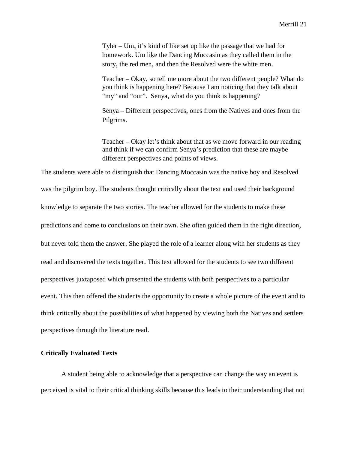Tyler – Um, it's kind of like set up like the passage that we had for homework. Um like the Dancing Moccasin as they called them in the story, the red men, and then the Resolved were the white men.

Teacher – Okay, so tell me more about the two different people? What do you think is happening here? Because I am noticing that they talk about "my" and "our". Senya, what do you think is happening?

Senya – Different perspectives, ones from the Natives and ones from the Pilgrims.

Teacher – Okay let's think about that as we move forward in our reading and think if we can confirm Senya's prediction that these are maybe different perspectives and points of views.

The students were able to distinguish that Dancing Moccasin was the native boy and Resolved was the pilgrim boy. The students thought critically about the text and used their background knowledge to separate the two stories. The teacher allowed for the students to make these predictions and come to conclusions on their own. She often guided them in the right direction, but never told them the answer. She played the role of a learner along with her students as they read and discovered the texts together. This text allowed for the students to see two different perspectives juxtaposed which presented the students with both perspectives to a particular event. This then offered the students the opportunity to create a whole picture of the event and to think critically about the possibilities of what happened by viewing both the Natives and settlers perspectives through the literature read.

# **Critically Evaluated Texts**

A student being able to acknowledge that a perspective can change the way an event is perceived is vital to their critical thinking skills because this leads to their understanding that not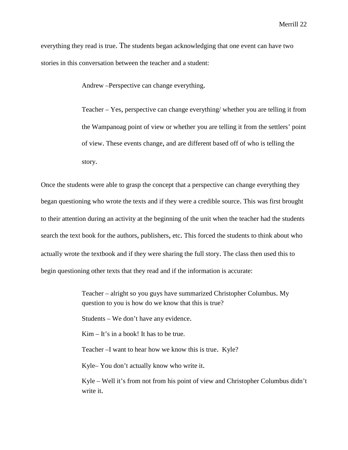everything they read is true. The students began acknowledging that one event can have two stories in this conversation between the teacher and a student:

Andrew –Perspective can change everything.

Teacher – Yes, perspective can change everything/ whether you are telling it from the Wampanoag point of view or whether you are telling it from the settlers' point of view. These events change, and are different based off of who is telling the story.

Once the students were able to grasp the concept that a perspective can change everything they began questioning who wrote the texts and if they were a credible source. This was first brought to their attention during an activity at the beginning of the unit when the teacher had the students search the text book for the authors, publishers, etc. This forced the students to think about who actually wrote the textbook and if they were sharing the full story. The class then used this to begin questioning other texts that they read and if the information is accurate:

> Teacher – alright so you guys have summarized Christopher Columbus. My question to you is how do we know that this is true?

Students – We don't have any evidence.

Kim – It's in a book! It has to be true.

Teacher –I want to hear how we know this is true. Kyle?

Kyle– You don't actually know who write it.

Kyle – Well it's from not from his point of view and Christopher Columbus didn't write it.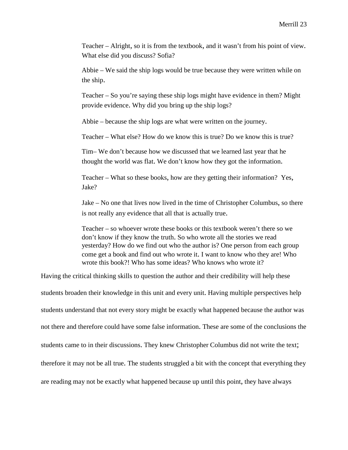Teacher – Alright, so it is from the textbook, and it wasn't from his point of view. What else did you discuss? Sofia?

Abbie – We said the ship logs would be true because they were written while on the ship.

Teacher – So you're saying these ship logs might have evidence in them? Might provide evidence. Why did you bring up the ship logs?

Abbie – because the ship logs are what were written on the journey.

Teacher – What else? How do we know this is true? Do we know this is true?

Tim– We don't because how we discussed that we learned last year that he thought the world was flat. We don't know how they got the information.

Teacher – What so these books, how are they getting their information? Yes, Jake?

Jake – No one that lives now lived in the time of Christopher Columbus, so there is not really any evidence that all that is actually true.

Teacher – so whoever wrote these books or this textbook weren't there so we don't know if they know the truth. So who wrote all the stories we read yesterday? How do we find out who the author is? One person from each group come get a book and find out who wrote it. I want to know who they are! Who wrote this book?! Who has some ideas? Who knows who wrote it?

Having the critical thinking skills to question the author and their credibility will help these

students broaden their knowledge in this unit and every unit. Having multiple perspectives help students understand that not every story might be exactly what happened because the author was not there and therefore could have some false information. These are some of the conclusions the students came to in their discussions. They knew Christopher Columbus did not write the text; therefore it may not be all true. The students struggled a bit with the concept that everything they are reading may not be exactly what happened because up until this point, they have always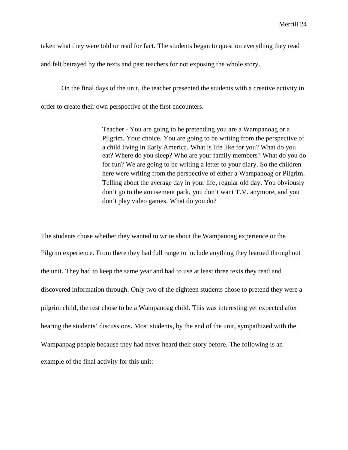taken what they were told or read for fact. The students began to question everything they read

and felt betrayed by the texts and past teachers for not exposing the whole story.

On the final days of the unit, the teacher presented the students with a creative activity in order to create their own perspective of the first encounters.

> Teacher - You are going to be pretending you are a Wampanoag or a Pilgrim. Your choice. You are going to be writing from the perspective of a child living in Early America. What is life like for you? What do you eat? Where do you sleep? Who are your family members? What do you do for fun? We are going to be writing a letter to your diary. So the children here were writing from the perspective of either a Wampanoag or Pilgrim. Telling about the average day in your life, regular old day. You obviously don't go to the amusement park, you don't want T.V. anymore, and you don't play video games. What do you do?

The students chose whether they wanted to write about the Wampanoag experience or the Pilgrim experience. From there they had full range to include anything they learned throughout the unit. They had to keep the same year and had to use at least three texts they read and discovered information through. Only two of the eighteen students chose to pretend they were a pilgrim child, the rest chose to be a Wampanoag child. This was interesting yet expected after hearing the students' discussions. Most students, by the end of the unit, sympathized with the Wampanoag people because they had never heard their story before. The following is an example of the final activity for this unit: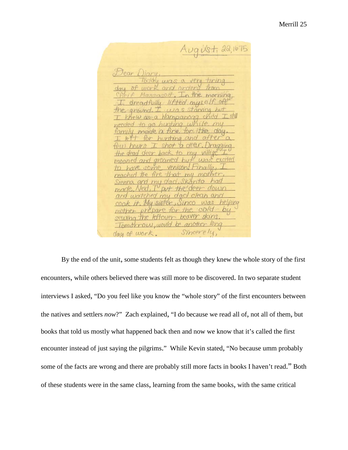$Avg\dot{v}$ st, 22,1675 Jear adfully lifted muse. family made a fire for the  $the$ and arouned  $m<sub>0</sub>$  $\overline{10}$ reached the fire. Sienna and my dad made. and watched my dac  $\cos k$  it. My sister, Sinco mother prepare  $CO/G$ for the sewing the leftoyer beaver Tomotrow, would be another day of work. Sincerely,

By the end of the unit, some students felt as though they knew the whole story of the first encounters, while others believed there was still more to be discovered. In two separate student interviews I asked, "Do you feel like you know the "whole story" of the first encounters between the natives and settlers *now*?" Zach explained, "I do because we read all of, not all of them, but books that told us mostly what happened back then and now we know that it's called the first encounter instead of just saying the pilgrims." While Kevin stated, "No because umm probably some of the facts are wrong and there are probably still more facts in books I haven't read." Both of these students were in the same class, learning from the same books, with the same critical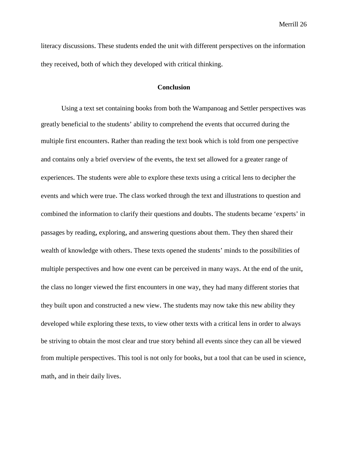literacy discussions. These students ended the unit with different perspectives on the information they received, both of which they developed with critical thinking.

### **Conclusion**

Using a text set containing books from both the Wampanoag and Settler perspectives was greatly beneficial to the students' ability to comprehend the events that occurred during the multiple first encounters. Rather than reading the text book which is told from one perspective and contains only a brief overview of the events, the text set allowed for a greater range of experiences. The students were able to explore these texts using a critical lens to decipher the events and which were true. The class worked through the text and illustrations to question and combined the information to clarify their questions and doubts. The students became 'experts' in passages by reading, exploring, and answering questions about them. They then shared their wealth of knowledge with others. These texts opened the students' minds to the possibilities of multiple perspectives and how one event can be perceived in many ways. At the end of the unit, the class no longer viewed the first encounters in one way, they had many different stories that they built upon and constructed a new view. The students may now take this new ability they developed while exploring these texts, to view other texts with a critical lens in order to always be striving to obtain the most clear and true story behind all events since they can all be viewed from multiple perspectives. This tool is not only for books, but a tool that can be used in science, math, and in their daily lives.